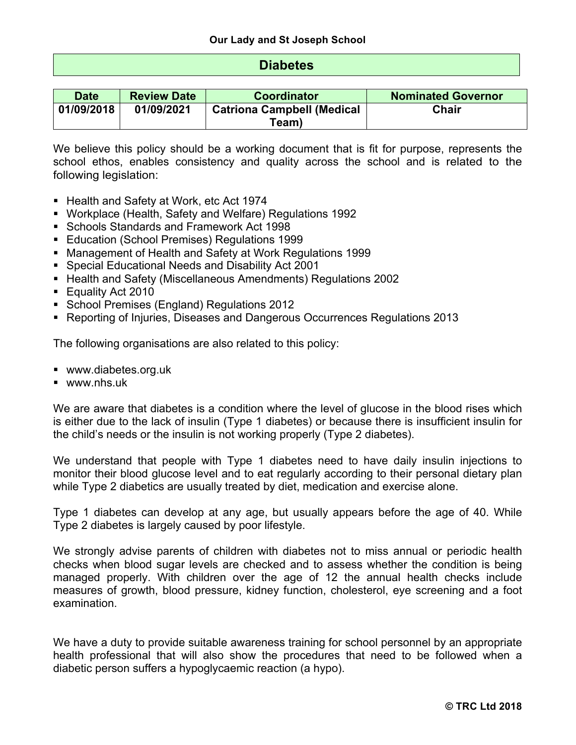# **Diabetes**

| <b>Date</b> | <b>Review Date</b> | <b>Coordinator</b>                | <b>Nominated Governor</b> |  |
|-------------|--------------------|-----------------------------------|---------------------------|--|
| 01/09/2018  | 01/09/2021         | <b>Catriona Campbell (Medical</b> | <b>Chair</b>              |  |
|             |                    | Team)                             |                           |  |

We believe this policy should be a working document that is fit for purpose, represents the school ethos, enables consistency and quality across the school and is related to the following legislation:

- Health and Safety at Work, etc Act 1974
- § Workplace (Health, Safety and Welfare) Regulations 1992
- § Schools Standards and Framework Act 1998
- Education (School Premises) Regulations 1999
- § Management of Health and Safety at Work Regulations 1999
- Special Educational Needs and Disability Act 2001
- Health and Safety (Miscellaneous Amendments) Regulations 2002
- Equality Act 2010
- School Premises (England) Regulations 2012
- § Reporting of Injuries, Diseases and Dangerous Occurrences Regulations 2013

The following organisations are also related to this policy:

- www.diabetes.org.uk
- www.nhs.uk

We are aware that diabetes is a condition where the level of glucose in the blood rises which is either due to the lack of insulin (Type 1 diabetes) or because there is insufficient insulin for the child's needs or the insulin is not working properly (Type 2 diabetes).

We understand that people with Type 1 diabetes need to have daily insulin injections to monitor their blood glucose level and to eat regularly according to their personal dietary plan while Type 2 diabetics are usually treated by diet, medication and exercise alone.

Type 1 diabetes can develop at any age, but usually appears before the age of 40. While Type 2 diabetes is largely caused by poor lifestyle.

We strongly advise parents of children with diabetes not to miss annual or periodic health checks when blood sugar levels are checked and to assess whether the condition is being managed properly. With children over the age of 12 the annual health checks include measures of growth, blood pressure, kidney function, cholesterol, eye screening and a foot examination.

We have a duty to provide suitable awareness training for school personnel by an appropriate health professional that will also show the procedures that need to be followed when a diabetic person suffers a hypoglycaemic reaction (a hypo).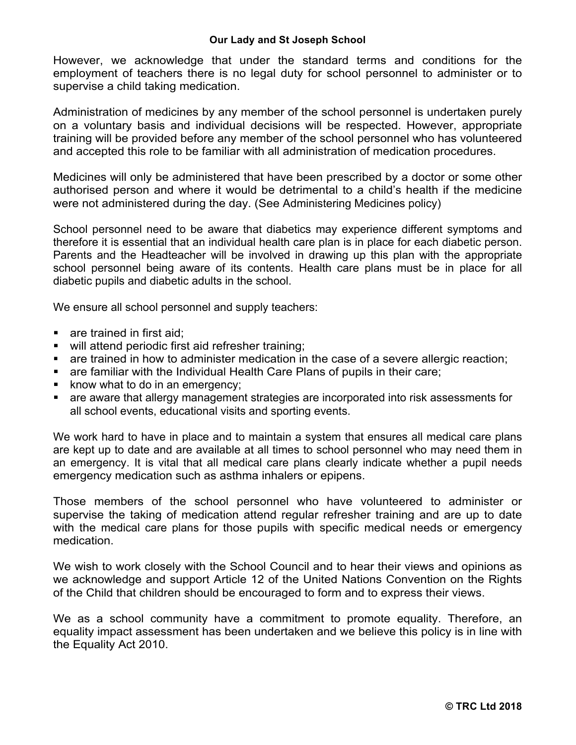However, we acknowledge that under the standard terms and conditions for the employment of teachers there is no legal duty for school personnel to administer or to supervise a child taking medication.

Administration of medicines by any member of the school personnel is undertaken purely on a voluntary basis and individual decisions will be respected. However, appropriate training will be provided before any member of the school personnel who has volunteered and accepted this role to be familiar with all administration of medication procedures.

Medicines will only be administered that have been prescribed by a doctor or some other authorised person and where it would be detrimental to a child's health if the medicine were not administered during the day. (See Administering Medicines policy)

School personnel need to be aware that diabetics may experience different symptoms and therefore it is essential that an individual health care plan is in place for each diabetic person. Parents and the Headteacher will be involved in drawing up this plan with the appropriate school personnel being aware of its contents. Health care plans must be in place for all diabetic pupils and diabetic adults in the school.

We ensure all school personnel and supply teachers:

- **•** are trained in first aid;
- will attend periodic first aid refresher training;
- are trained in how to administer medication in the case of a severe allergic reaction;
- are familiar with the Individual Health Care Plans of pupils in their care;
- know what to do in an emergency;
- are aware that allergy management strategies are incorporated into risk assessments for all school events, educational visits and sporting events.

We work hard to have in place and to maintain a system that ensures all medical care plans are kept up to date and are available at all times to school personnel who may need them in an emergency. It is vital that all medical care plans clearly indicate whether a pupil needs emergency medication such as asthma inhalers or epipens.

Those members of the school personnel who have volunteered to administer or supervise the taking of medication attend regular refresher training and are up to date with the medical care plans for those pupils with specific medical needs or emergency medication.

We wish to work closely with the School Council and to hear their views and opinions as we acknowledge and support Article 12 of the United Nations Convention on the Rights of the Child that children should be encouraged to form and to express their views.

We as a school community have a commitment to promote equality. Therefore, an equality impact assessment has been undertaken and we believe this policy is in line with the Equality Act 2010.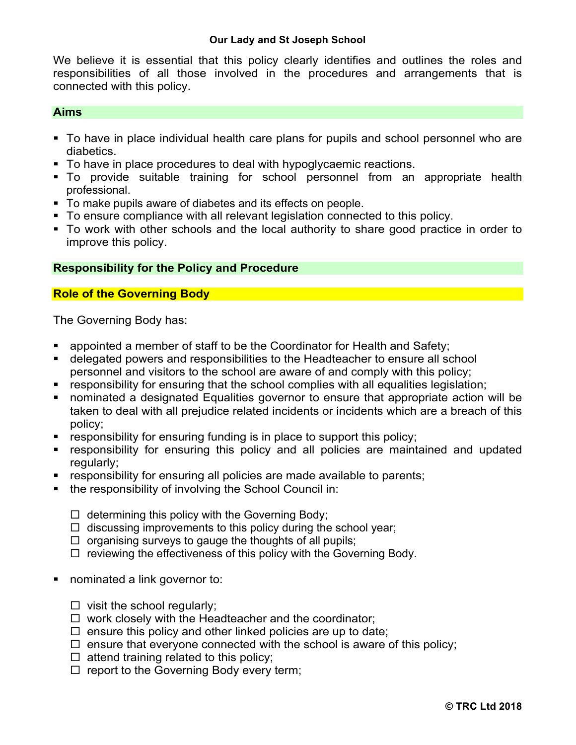We believe it is essential that this policy clearly identifies and outlines the roles and responsibilities of all those involved in the procedures and arrangements that is connected with this policy.

#### **Aims**

- To have in place individual health care plans for pupils and school personnel who are diabetics.
- § To have in place procedures to deal with hypoglycaemic reactions.
- To provide suitable training for school personnel from an appropriate health professional.
- § To make pupils aware of diabetes and its effects on people.
- § To ensure compliance with all relevant legislation connected to this policy.
- § To work with other schools and the local authority to share good practice in order to improve this policy.

### **Responsibility for the Policy and Procedure**

## **Role of the Governing Body**

The Governing Body has:

- appointed a member of staff to be the Coordinator for Health and Safety;
- delegated powers and responsibilities to the Headteacher to ensure all school personnel and visitors to the school are aware of and comply with this policy;
- responsibility for ensuring that the school complies with all equalities legislation;
- nominated a designated Equalities governor to ensure that appropriate action will be taken to deal with all prejudice related incidents or incidents which are a breach of this policy;
- responsibility for ensuring funding is in place to support this policy;
- **•** responsibility for ensuring this policy and all policies are maintained and updated regularly;
- **responsibility for ensuring all policies are made available to parents;**
- the responsibility of involving the School Council in:
	- $\Box$  determining this policy with the Governing Body;
	- $\Box$  discussing improvements to this policy during the school year;
	- $\Box$  organising surveys to gauge the thoughts of all pupils;
	- $\square$  reviewing the effectiveness of this policy with the Governing Body.
- nominated a link governor to:
	- $\square$  visit the school regularly;
	- $\Box$  work closely with the Headteacher and the coordinator;
	- $\square$  ensure this policy and other linked policies are up to date;
	- $\square$  ensure that everyone connected with the school is aware of this policy;
	- $\square$  attend training related to this policy;
	- $\Box$  report to the Governing Body every term;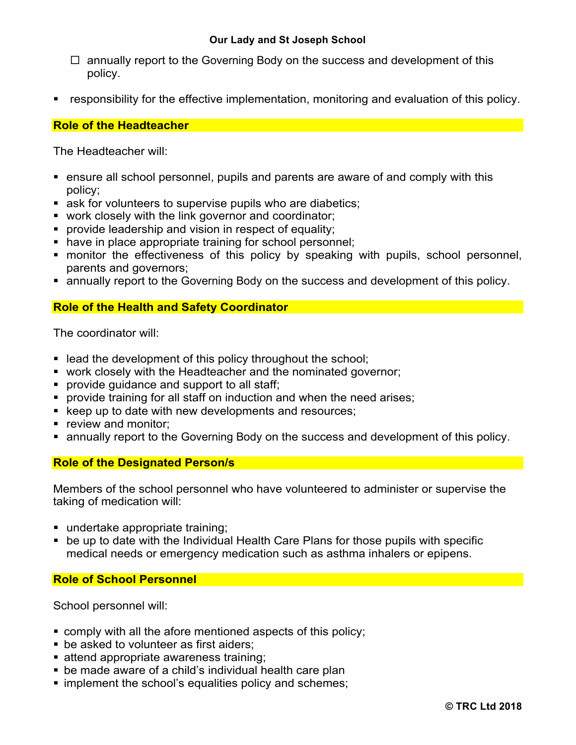- $\Box$  annually report to the Governing Body on the success and development of this policy.
- responsibility for the effective implementation, monitoring and evaluation of this policy.

### **Role of the Headteacher**

The Headteacher will:

- ensure all school personnel, pupils and parents are aware of and comply with this policy;
- ask for volunteers to supervise pupils who are diabetics;
- work closely with the link governor and coordinator;
- **provide leadership and vision in respect of equality;**
- have in place appropriate training for school personnel;
- monitor the effectiveness of this policy by speaking with pupils, school personnel, parents and governors;
- annually report to the Governing Body on the success and development of this policy.

## **Role of the Health and Safety Coordinator**

The coordinator will:

- lead the development of this policy throughout the school;
- work closely with the Headteacher and the nominated governor;
- **•** provide guidance and support to all staff;
- § provide training for all staff on induction and when the need arises;
- keep up to date with new developments and resources;
- **•** review and monitor;
- annually report to the Governing Body on the success and development of this policy.

### **Role of the Designated Person/s**

Members of the school personnel who have volunteered to administer or supervise the taking of medication will:

- undertake appropriate training;
- be up to date with the Individual Health Care Plans for those pupils with specific medical needs or emergency medication such as asthma inhalers or epipens.

### **Role of School Personnel**

School personnel will:

- comply with all the afore mentioned aspects of this policy;
- be asked to volunteer as first aiders;
- attend appropriate awareness training;
- be made aware of a child's individual health care plan
- implement the school's equalities policy and schemes;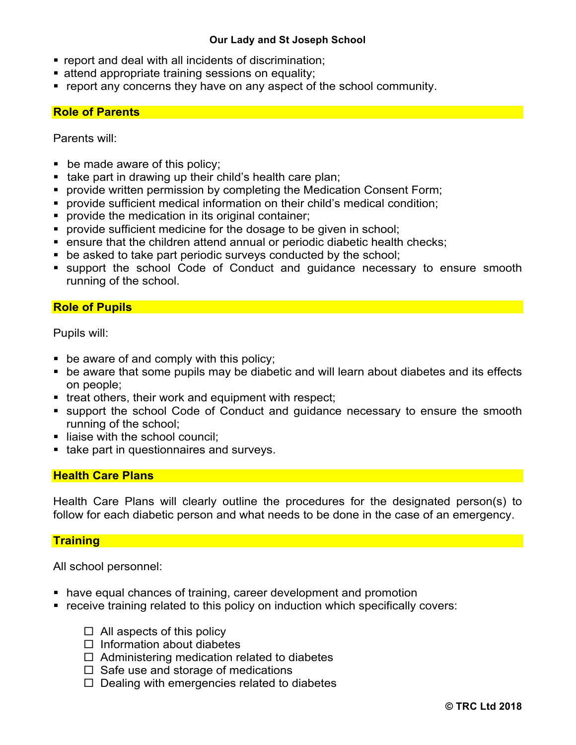- report and deal with all incidents of discrimination;
- attend appropriate training sessions on equality;
- § report any concerns they have on any aspect of the school community.

#### **Role of Parents**

Parents will:

- be made aware of this policy;
- take part in drawing up their child's health care plan;
- **provide written permission by completing the Medication Consent Form;**
- **provide sufficient medical information on their child's medical condition;**
- **•** provide the medication in its original container;
- provide sufficient medicine for the dosage to be given in school;
- ensure that the children attend annual or periodic diabetic health checks;
- be asked to take part periodic surveys conducted by the school;
- support the school Code of Conduct and guidance necessary to ensure smooth running of the school.

## **Role of Pupils**

Pupils will:

- be aware of and comply with this policy;
- be aware that some pupils may be diabetic and will learn about diabetes and its effects on people;
- treat others, their work and equipment with respect;
- support the school Code of Conduct and guidance necessary to ensure the smooth running of the school;
- liaise with the school council:
- take part in questionnaires and surveys.

### **Health Care Plans**

Health Care Plans will clearly outline the procedures for the designated person(s) to follow for each diabetic person and what needs to be done in the case of an emergency.

### **Training**

All school personnel:

- have equal chances of training, career development and promotion
- receive training related to this policy on induction which specifically covers:
	- $\Box$  All aspects of this policy
	- $\square$  Information about diabetes
	- $\Box$  Administering medication related to diabetes
	- $\Box$  Safe use and storage of medications
	- $\Box$  Dealing with emergencies related to diabetes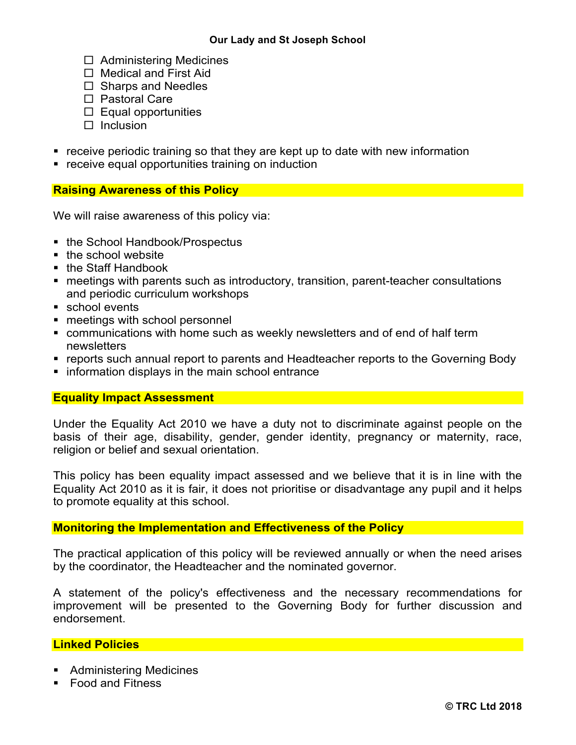- $\square$  Administering Medicines
- $\square$  Medical and First Aid
- $\square$  Sharps and Needles
- $\square$  Pastoral Care
- $\square$  Equal opportunities
- $\square$  Inclusion
- receive periodic training so that they are kept up to date with new information
- receive equal opportunities training on induction

## **Raising Awareness of this Policy**

We will raise awareness of this policy via:

- the School Handbook/Prospectus
- the school website
- the Staff Handbook
- meetings with parents such as introductory, transition, parent-teacher consultations and periodic curriculum workshops
- school events
- **meetings with school personnel**
- communications with home such as weekly newsletters and of end of half term newsletters
- reports such annual report to parents and Headteacher reports to the Governing Body
- information displays in the main school entrance

# **Equality Impact Assessment**

Under the Equality Act 2010 we have a duty not to discriminate against people on the basis of their age, disability, gender, gender identity, pregnancy or maternity, race, religion or belief and sexual orientation.

This policy has been equality impact assessed and we believe that it is in line with the Equality Act 2010 as it is fair, it does not prioritise or disadvantage any pupil and it helps to promote equality at this school.

### **Monitoring the Implementation and Effectiveness of the Policy**

The practical application of this policy will be reviewed annually or when the need arises by the coordinator, the Headteacher and the nominated governor.

A statement of the policy's effectiveness and the necessary recommendations for improvement will be presented to the Governing Body for further discussion and endorsement.

### **Linked Policies**

- Administering Medicines
- Food and Fitness